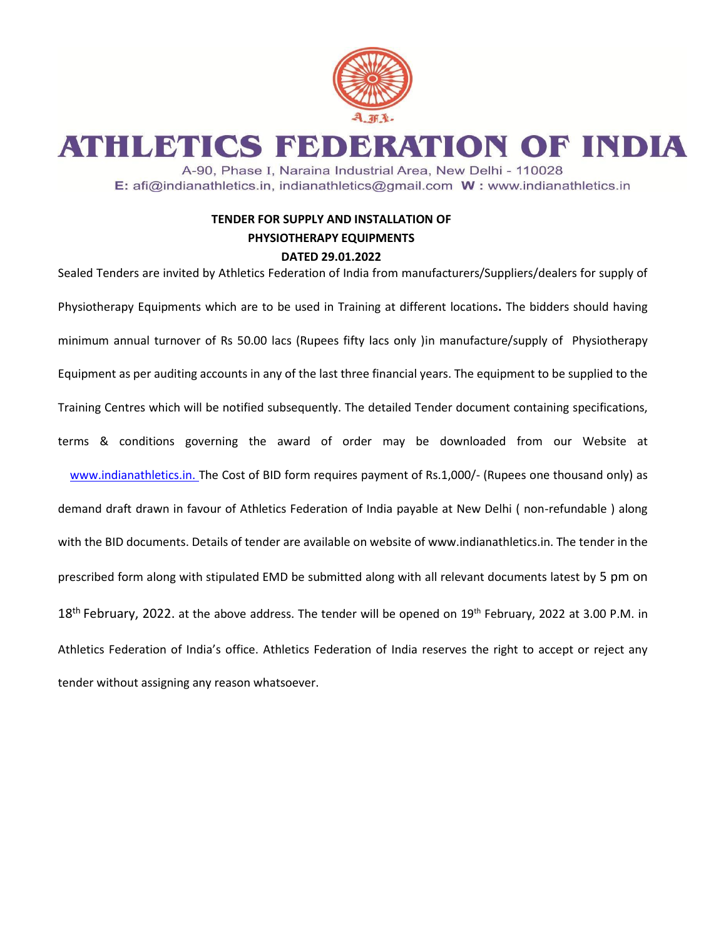

ATHLETICS FEDERATION OF INDIA

A-90, Phase I, Naraina Industrial Area, New Delhi - 110028 E: afi@indianathletics.in, indianathletics@gmail.com W: www.indianathletics.in

## **TENDER FOR SUPPLY AND INSTALLATION OF PHYSIOTHERAPY EQUIPMENTS DATED 29.01.2022**

Sealed Tenders are invited by Athletics Federation of India from manufacturers/Suppliers/dealers for supply of Physiotherapy Equipments which are to be used in Training at different locations**.** The bidders should having minimum annual turnover of Rs 50.00 lacs (Rupees fifty lacs only )in manufacture/supply of Physiotherapy Equipment as per auditing accounts in any of the last three financial years. The equipment to be supplied to the Training Centres which will be notified subsequently. The detailed Tender document containing specifications, terms & conditions governing the award of order may be downloaded from our Website at www.indianathletics.in. The Cost of BID form requires payment of Rs.1,000/- (Rupees one thousand only) as demand draft drawn in favour of Athletics Federation of India payable at New Delhi ( non-refundable ) along with the BID documents. Details of tender are available on website of [www.indianathletics.in.](http://www.indianathletics.in/) The tender in the prescribed form along with stipulated EMD be submitted along with all relevant documents latest by 5 pm on 18<sup>th</sup> February, 2022. at the above address. The tender will be opened on 19<sup>th</sup> February, 2022 at 3.00 P.M. in Athletics Federation of India's office. Athletics Federation of India reserves the right to accept or reject any tender without assigning any reason whatsoever.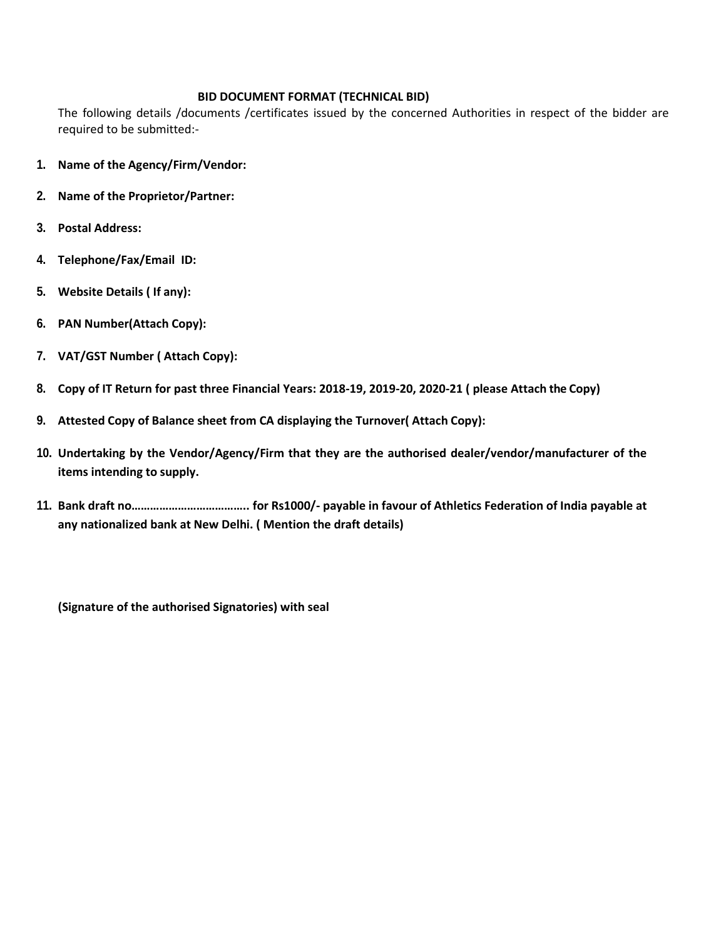## **BID DOCUMENT FORMAT (TECHNICAL BID)**

The following details /documents /certificates issued by the concerned Authorities in respect of the bidder are required to be submitted:-

- **1. Name of the Agency/Firm/Vendor:**
- **2. Name of the Proprietor/Partner:**
- **3. Postal Address:**
- **4. Telephone/Fax/Email ID:**
- **5. Website Details ( If any):**
- **6. PAN Number(Attach Copy):**
- **7. VAT/GST Number ( Attach Copy):**
- **8. Copy of IT Return for past three Financial Years: 2018-19, 2019-20, 2020-21 ( please Attach the Copy)**
- **9. Attested Copy of Balance sheet from CA displaying the Turnover( Attach Copy):**
- **10. Undertaking by the Vendor/Agency/Firm that they are the authorised dealer/vendor/manufacturer of the items intending to supply.**
- **11. Bank draft no……………………………….. for Rs1000/- payable in favour of Athletics Federation of India payable at any nationalized bank at New Delhi. ( Mention the draft details)**

**(Signature of the authorised Signatories) with seal**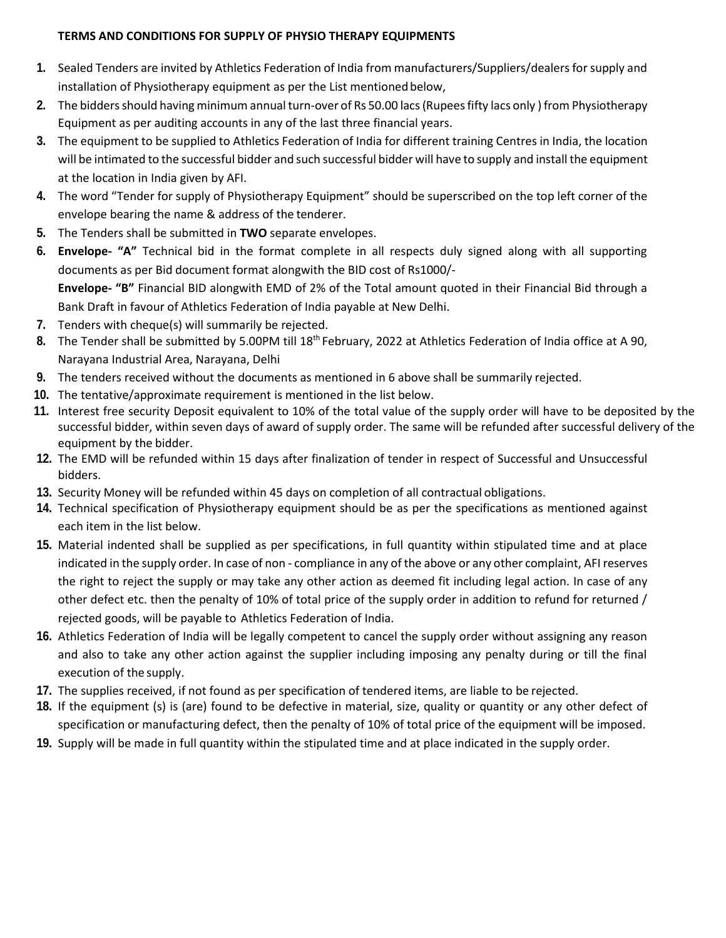## **TERMS AND CONDITIONS FOR SUPPLY OF PHYSIO THERAPY EQUIPMENTS**

- **1.** Sealed Tenders are invited by Athletics Federation of India from manufacturers/Suppliers/dealers for supply and installation of Physiotherapy equipment as per the List mentioned below,
- **2.** The bidders should having minimum annual turn-over of Rs 50.00 lacs (Rupees fifty lacs only ) from Physiotherapy Equipment as per auditing accounts in any of the last three financial years.
- **3.** The equipment to be supplied to Athletics Federation of India for different training Centres in India, the location will be intimated to the successful bidder and such successful bidder will have to supply and install the equipment at the location in India given by AFI.
- **4.** The word "Tender for supply of Physiotherapy Equipment" should be superscribed on the top left corner of the envelope bearing the name & address of the tenderer.
- **5.** The Tenders shall be submitted in **TWO** separate envelopes.
- **6. Envelope- "A"** Technical bid in the format complete in all respects duly signed along with all supporting documents as per Bid document format alongwith the BID cost of Rs1000/- **Envelope- "B"** Financial BID alongwith EMD of 2% of the Total amount quoted in their Financial Bid through a Bank Draft in favour of Athletics Federation of India payable at New Delhi.
- **7.** Tenders with cheque(s) will summarily be rejected.
- 8. The Tender shall be submitted by 5.00PM till 18<sup>th</sup> February, 2022 at Athletics Federation of India office at A 90, Narayana Industrial Area, Narayana, Delhi
- **9.** The tenders received without the documents as mentioned in 6 above shall be summarily rejected.
- **10.** The tentative/approximate requirement is mentioned in the list below.
- **11.** Interest free security Deposit equivalent to 10% of the total value of the supply order will have to be deposited by the successful bidder, within seven days of award of supply order. The same will be refunded after successful delivery of the equipment by the bidder.
- **12.** The EMD will be refunded within 15 days after finalization of tender in respect of Successful and Unsuccessful bidders.
- **13.** Security Money will be refunded within 45 days on completion of all contractual obligations.
- **14.** Technical specification of Physiotherapy equipment should be as per the specifications as mentioned against each item in the list below.
- **15.** Material indented shall be supplied as per specifications, in full quantity within stipulated time and at place indicated in the supply order. In case of non - compliance in any of the above or any other complaint, AFI reserves the right to reject the supply or may take any other action as deemed fit including legal action. In case of any other defect etc. then the penalty of 10% of total price of the supply order in addition to refund for returned / rejected goods, will be payable to Athletics Federation of India.
- **16.** Athletics Federation of India will be legally competent to cancel the supply order without assigning any reason and also to take any other action against the supplier including imposing any penalty during or till the final execution of the supply.
- **17.** The supplies received, if not found as per specification of tendered items, are liable to be rejected.
- **18.** If the equipment (s) is (are) found to be defective in material, size, quality or quantity or any other defect of specification or manufacturing defect, then the penalty of 10% of total price of the equipment will be imposed.
- **19.** Supply will be made in full quantity within the stipulated time and at place indicated in the supply order.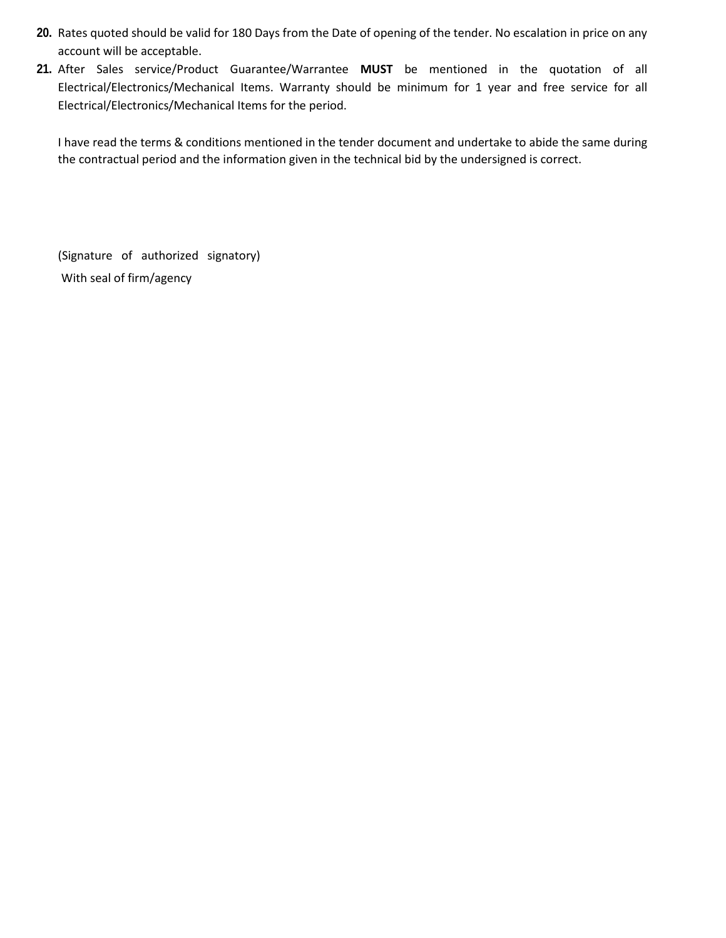- **20.** Rates quoted should be valid for 180 Days from the Date of opening of the tender. No escalation in price on any account will be acceptable.
- **21.** After Sales service/Product Guarantee/Warrantee **MUST** be mentioned in the quotation of all Electrical/Electronics/Mechanical Items. Warranty should be minimum for 1 year and free service for all Electrical/Electronics/Mechanical Items for the period.

I have read the terms & conditions mentioned in the tender document and undertake to abide the same during the contractual period and the information given in the technical bid by the undersigned is correct.

(Signature of authorized signatory) With seal of firm/agency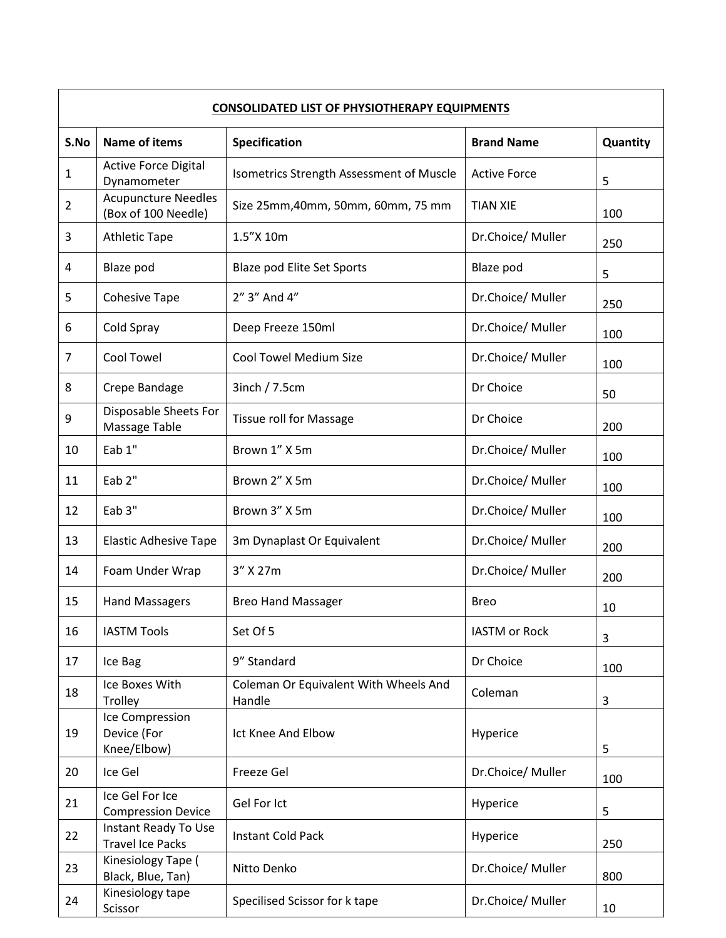| <b>CONSOLIDATED LIST OF PHYSIOTHERAPY EQUIPMENTS</b> |                                                   |                                                 |                      |          |  |  |
|------------------------------------------------------|---------------------------------------------------|-------------------------------------------------|----------------------|----------|--|--|
| S.No                                                 | <b>Name of items</b>                              | Specification                                   | <b>Brand Name</b>    | Quantity |  |  |
| $\mathbf 1$                                          | <b>Active Force Digital</b><br>Dynamometer        | Isometrics Strength Assessment of Muscle        | <b>Active Force</b>  | 5        |  |  |
| $\overline{2}$                                       | <b>Acupuncture Needles</b><br>(Box of 100 Needle) | Size 25mm, 40mm, 50mm, 60mm, 75 mm              | <b>TIAN XIE</b>      | 100      |  |  |
| 3                                                    | <b>Athletic Tape</b>                              | 1.5"X 10m                                       | Dr.Choice/Muller     | 250      |  |  |
| 4                                                    | Blaze pod                                         | Blaze pod Elite Set Sports                      | Blaze pod            | 5        |  |  |
| 5                                                    | <b>Cohesive Tape</b>                              | 2" 3" And 4"                                    | Dr.Choice/Muller     | 250      |  |  |
| 6                                                    | Cold Spray                                        | Deep Freeze 150ml                               | Dr.Choice/Muller     | 100      |  |  |
| $\overline{7}$                                       | Cool Towel                                        | <b>Cool Towel Medium Size</b>                   | Dr.Choice/Muller     | 100      |  |  |
| 8                                                    | Crepe Bandage                                     | 3inch / 7.5cm                                   | Dr Choice            | 50       |  |  |
| 9                                                    | Disposable Sheets For<br>Massage Table            | <b>Tissue roll for Massage</b>                  | Dr Choice            | 200      |  |  |
| 10                                                   | Eab 1"                                            | Brown 1" X 5m                                   | Dr.Choice/ Muller    | 100      |  |  |
| 11                                                   | Eab 2"                                            | Brown 2" X 5m                                   | Dr.Choice/Muller     | 100      |  |  |
| 12                                                   | Eab 3"                                            | Brown 3" X 5m                                   | Dr.Choice/Muller     | 100      |  |  |
| 13                                                   | <b>Elastic Adhesive Tape</b>                      | 3m Dynaplast Or Equivalent                      | Dr.Choice/Muller     | 200      |  |  |
| 14                                                   | Foam Under Wrap                                   | 3" X 27m                                        | Dr.Choice/Muller     | 200      |  |  |
| 15                                                   | <b>Hand Massagers</b>                             | <b>Breo Hand Massager</b>                       | <b>Breo</b>          | 10       |  |  |
| 16                                                   | <b>IASTM Tools</b>                                | Set Of 5                                        | <b>IASTM</b> or Rock | 3        |  |  |
| 17                                                   | Ice Bag                                           | 9" Standard                                     | Dr Choice            | 100      |  |  |
| 18                                                   | Ice Boxes With<br>Trolley                         | Coleman Or Equivalent With Wheels And<br>Handle | Coleman              | 3        |  |  |
| 19                                                   | Ice Compression<br>Device (For<br>Knee/Elbow)     | Ict Knee And Elbow                              | Hyperice             | 5        |  |  |
| 20                                                   | Ice Gel                                           | Freeze Gel                                      | Dr.Choice/Muller     | 100      |  |  |
| 21                                                   | Ice Gel For Ice<br><b>Compression Device</b>      | Gel For Ict                                     | Hyperice             | 5        |  |  |
| 22                                                   | Instant Ready To Use<br><b>Travel Ice Packs</b>   | <b>Instant Cold Pack</b>                        | Hyperice             | 250      |  |  |
| 23                                                   | Kinesiology Tape (<br>Black, Blue, Tan)           | Nitto Denko                                     | Dr.Choice/Muller     | 800      |  |  |
| 24                                                   | Kinesiology tape<br>Scissor                       | Specilised Scissor for k tape                   | Dr.Choice/Muller     | 10       |  |  |